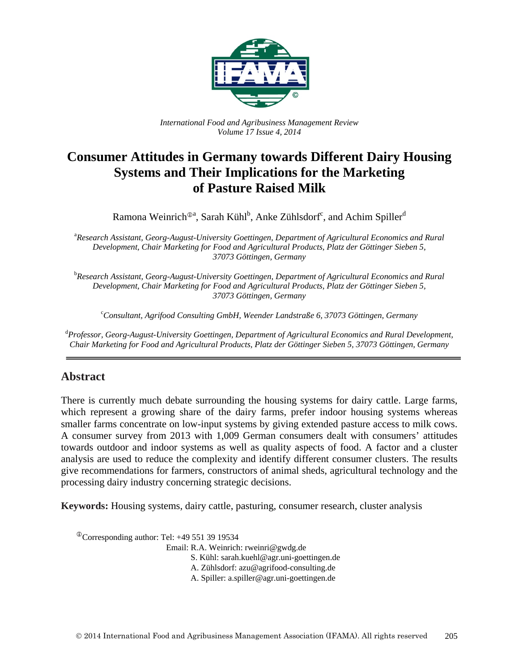

*International Food and Agribusiness Management Review Volume 17 Issue 4, 2014*

# **Consumer Attitudes in Germany towards Different Dairy Housing Systems and Their Implications for the Marketing of Pasture Raised Milk**

Ramona Weinrich®ª, Sarah Kühl<sup>b</sup>, Anke Zühlsdorf<sup>c</sup>, and Achim Spiller<sup>d</sup>

<sup>a</sup> Research Assistant, Georg-August-University Goettingen, Department of Agricultural Economics and Rural *Development, Chair Marketing for Food and Agricultural Products, Platz der Göttinger Sieben 5, 37073 Göttingen, Germany* 

b *Research Assistant, Georg-August-University Goettingen, Department of Agricultural Economics and Rural Development, Chair Marketing for Food and Agricultural Products, Platz der Göttinger Sieben 5, 37073 Göttingen, Germany* 

c *Consultant, Agrifood Consulting GmbH, Weender Landstraße 6, 37073 Göttingen, Germany*

d *Professor, Georg-August-University Goettingen, Department of Agricultural Economics and Rural Development, Chair Marketing for Food and Agricultural Products, Platz der Göttinger Sieben 5, 37073 Göttingen, Germany* 

### **Abstract**

There is currently much debate surrounding the housing systems for dairy cattle. Large farms, which represent a growing share of the dairy farms, prefer indoor housing systems whereas smaller farms concentrate on low-input systems by giving extended pasture access to milk cows. A consumer survey from 2013 with 1,009 German consumers dealt with consumers' attitudes towards outdoor and indoor systems as well as quality aspects of food. A factor and a cluster analysis are used to reduce the complexity and identify different consumer clusters. The results give recommendations for farmers, constructors of animal sheds, agricultural technology and the processing dairy industry concerning strategic decisions.

**Keywords:** Housing systems, dairy cattle, pasturing, consumer research, cluster analysis

 $\textcirc{}$ Corresponding author: Tel: +49 551 39 19534

Email: R.A. Weinrich: rweinri@gwdg.de

- S. Kühl: sarah.kuehl@agr.uni-goettingen.de
- A. Zühlsdorf: azu@agrifood-consulting.de
- A. Spiller: a.spiller@agr.uni-goettingen.de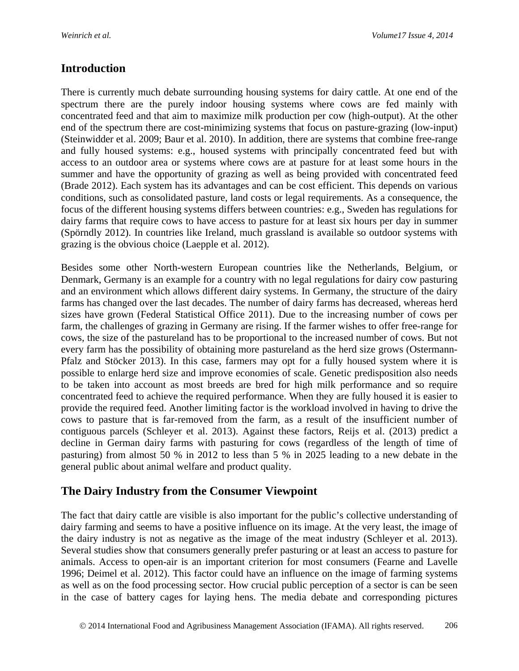## **Introduction**

There is currently much debate surrounding housing systems for dairy cattle. At one end of the spectrum there are the purely indoor housing systems where cows are fed mainly with concentrated feed and that aim to maximize milk production per cow (high-output). At the other end of the spectrum there are cost-minimizing systems that focus on pasture-grazing (low-input) (Steinwidder et al. 2009; Baur et al. 2010). In addition, there are systems that combine free-range and fully housed systems: e.g., housed systems with principally concentrated feed but with access to an outdoor area or systems where cows are at pasture for at least some hours in the summer and have the opportunity of grazing as well as being provided with concentrated feed (Brade 2012). Each system has its advantages and can be cost efficient. This depends on various conditions, such as consolidated pasture, land costs or legal requirements. As a consequence, the focus of the different housing systems differs between countries: e.g., Sweden has regulations for dairy farms that require cows to have access to pasture for at least six hours per day in summer (Spörndly 2012). In countries like Ireland, much grassland is available so outdoor systems with grazing is the obvious choice (Laepple et al. 2012).

Besides some other North-western European countries like the Netherlands, Belgium, or Denmark, Germany is an example for a country with no legal regulations for dairy cow pasturing and an environment which allows different dairy systems. In Germany, the structure of the dairy farms has changed over the last decades. The number of dairy farms has decreased, whereas herd sizes have grown (Federal Statistical Office 2011). Due to the increasing number of cows per farm, the challenges of grazing in Germany are rising. If the farmer wishes to offer free-range for cows, the size of the pastureland has to be proportional to the increased number of cows. But not every farm has the possibility of obtaining more pastureland as the herd size grows (Ostermann-Pfalz and Stöcker 2013). In this case, farmers may opt for a fully housed system where it is possible to enlarge herd size and improve economies of scale. Genetic predisposition also needs to be taken into account as most breeds are bred for high milk performance and so require concentrated feed to achieve the required performance. When they are fully housed it is easier to provide the required feed. Another limiting factor is the workload involved in having to drive the cows to pasture that is far-removed from the farm, as a result of the insufficient number of contiguous parcels (Schleyer et al. 2013). Against these factors, Reijs et al. (2013) predict a decline in German dairy farms with pasturing for cows (regardless of the length of time of pasturing) from almost 50 % in 2012 to less than 5 % in 2025 leading to a new debate in the general public about animal welfare and product quality.

# **The Dairy Industry from the Consumer Viewpoint**

The fact that dairy cattle are visible is also important for the public's collective understanding of dairy farming and seems to have a positive influence on its image. At the very least, the image of the dairy industry is not as negative as the image of the meat industry (Schleyer et al. 2013). Several studies show that consumers generally prefer pasturing or at least an access to pasture for animals. Access to open-air is an important criterion for most consumers (Fearne and Lavelle 1996; Deimel et al. 2012). This factor could have an influence on the image of farming systems as well as on the food processing sector. How crucial public perception of a sector is can be seen in the case of battery cages for laying hens. The media debate and corresponding pictures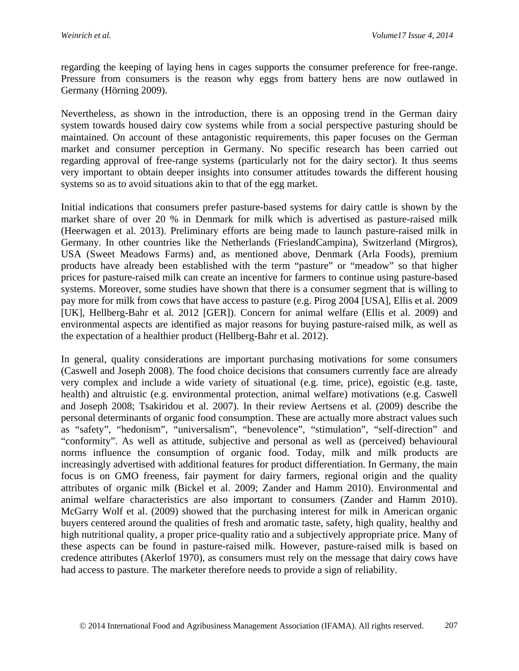regarding the keeping of laying hens in cages supports the consumer preference for free-range. Pressure from consumers is the reason why eggs from battery hens are now outlawed in Germany (Hörning 2009).

Nevertheless, as shown in the introduction, there is an opposing trend in the German dairy system towards housed dairy cow systems while from a social perspective pasturing should be maintained. On account of these antagonistic requirements, this paper focuses on the German market and consumer perception in Germany. No specific research has been carried out regarding approval of free-range systems (particularly not for the dairy sector). It thus seems very important to obtain deeper insights into consumer attitudes towards the different housing systems so as to avoid situations akin to that of the egg market.

Initial indications that consumers prefer pasture-based systems for dairy cattle is shown by the market share of over 20 % in Denmark for milk which is advertised as pasture-raised milk (Heerwagen et al. 2013). Preliminary efforts are being made to launch pasture-raised milk in Germany. In other countries like the Netherlands (FrieslandCampina), Switzerland (Mirgros), USA (Sweet Meadows Farms) and, as mentioned above, Denmark (Arla Foods), premium products have already been established with the term "pasture" or "meadow" so that higher prices for pasture-raised milk can create an incentive for farmers to continue using pasture-based systems. Moreover, some studies have shown that there is a consumer segment that is willing to pay more for milk from cows that have access to pasture (e.g. Pirog 2004 [USA], Ellis et al. 2009 [UK], Hellberg-Bahr et al. 2012 [GER]). Concern for animal welfare (Ellis et al. 2009) and environmental aspects are identified as major reasons for buying pasture-raised milk, as well as the expectation of a healthier product (Hellberg-Bahr et al. 2012).

In general, quality considerations are important purchasing motivations for some consumers (Caswell and Joseph 2008). The food choice decisions that consumers currently face are already very complex and include a wide variety of situational (e.g. time, price), egoistic (e.g. taste, health) and altruistic (e.g. environmental protection, animal welfare) motivations (e.g. Caswell and Joseph 2008; Tsakiridou et al. 2007). In their review Aertsens et al. (2009) describe the personal determinants of organic food consumption. These are actually more abstract values such as "safety", "hedonism", "universalism", "benevolence", "stimulation", "self-direction" and "conformity". As well as attitude, subjective and personal as well as (perceived) behavioural norms influence the consumption of organic food. Today, milk and milk products are increasingly advertised with additional features for product differentiation. In Germany, the main focus is on GMO freeness, fair payment for dairy farmers, regional origin and the quality attributes of organic milk (Bickel et al. 2009; Zander and Hamm 2010). Environmental and animal welfare characteristics are also important to consumers (Zander and Hamm 2010). McGarry Wolf et al. (2009) showed that the purchasing interest for milk in American organic buyers centered around the qualities of fresh and aromatic taste, safety, high quality, healthy and high nutritional quality, a proper price-quality ratio and a subjectively appropriate price. Many of these aspects can be found in pasture-raised milk. However, pasture-raised milk is based on credence attributes (Akerlof 1970), as consumers must rely on the message that dairy cows have had access to pasture. The marketer therefore needs to provide a sign of reliability.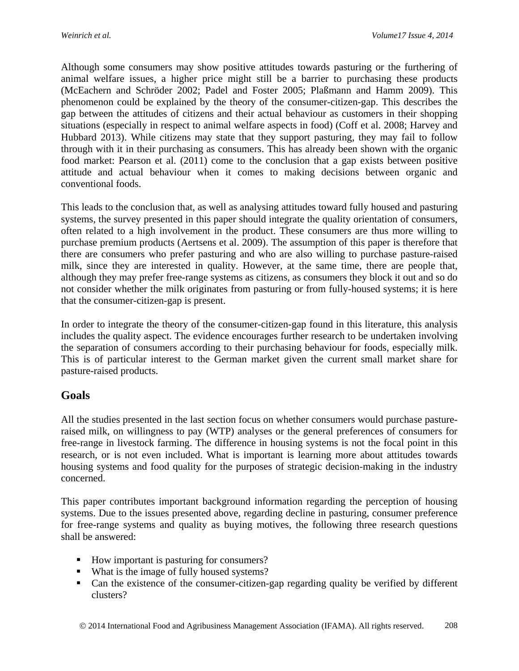Although some consumers may show positive attitudes towards pasturing or the furthering of animal welfare issues, a higher price might still be a barrier to purchasing these products (McEachern and Schröder 2002; Padel and Foster 2005; Plaßmann and Hamm 2009). This phenomenon could be explained by the theory of the consumer-citizen-gap. This describes the gap between the attitudes of citizens and their actual behaviour as customers in their shopping situations (especially in respect to animal welfare aspects in food) (Coff et al. 2008; Harvey and Hubbard 2013). While citizens may state that they support pasturing, they may fail to follow through with it in their purchasing as consumers. This has already been shown with the organic food market: Pearson et al. (2011) come to the conclusion that a gap exists between positive attitude and actual behaviour when it comes to making decisions between organic and conventional foods.

This leads to the conclusion that, as well as analysing attitudes toward fully housed and pasturing systems, the survey presented in this paper should integrate the quality orientation of consumers, often related to a high involvement in the product. These consumers are thus more willing to purchase premium products (Aertsens et al. 2009). The assumption of this paper is therefore that there are consumers who prefer pasturing and who are also willing to purchase pasture-raised milk, since they are interested in quality. However, at the same time, there are people that, although they may prefer free-range systems as citizens, as consumers they block it out and so do not consider whether the milk originates from pasturing or from fully-housed systems; it is here that the consumer-citizen-gap is present.

In order to integrate the theory of the consumer-citizen-gap found in this literature, this analysis includes the quality aspect. The evidence encourages further research to be undertaken involving the separation of consumers according to their purchasing behaviour for foods, especially milk. This is of particular interest to the German market given the current small market share for pasture-raised products.

### **Goals**

All the studies presented in the last section focus on whether consumers would purchase pastureraised milk, on willingness to pay (WTP) analyses or the general preferences of consumers for free-range in livestock farming. The difference in housing systems is not the focal point in this research, or is not even included. What is important is learning more about attitudes towards housing systems and food quality for the purposes of strategic decision-making in the industry concerned.

This paper contributes important background information regarding the perception of housing systems. Due to the issues presented above, regarding decline in pasturing, consumer preference for free-range systems and quality as buying motives, the following three research questions shall be answered:

- How important is pasturing for consumers?
- What is the image of fully housed systems?
- Can the existence of the consumer-citizen-gap regarding quality be verified by different clusters?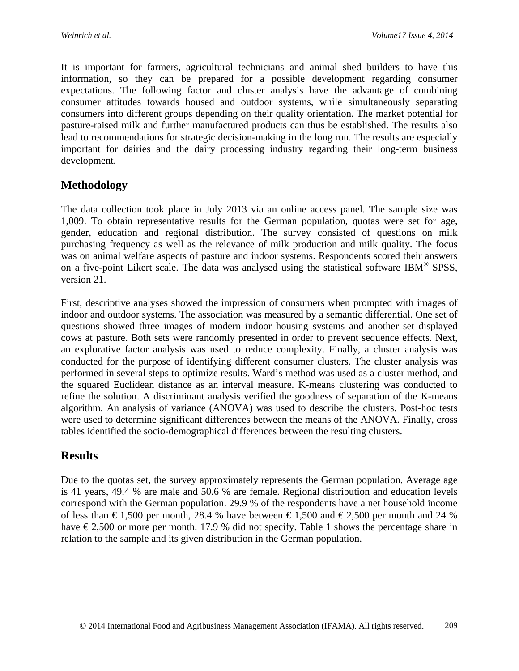It is important for farmers, agricultural technicians and animal shed builders to have this information, so they can be prepared for a possible development regarding consumer expectations. The following factor and cluster analysis have the advantage of combining consumer attitudes towards housed and outdoor systems, while simultaneously separating consumers into different groups depending on their quality orientation. The market potential for pasture-raised milk and further manufactured products can thus be established. The results also lead to recommendations for strategic decision-making in the long run. The results are especially important for dairies and the dairy processing industry regarding their long-term business development.

## **Methodology**

The data collection took place in July 2013 via an online access panel. The sample size was 1,009. To obtain representative results for the German population, quotas were set for age, gender, education and regional distribution. The survey consisted of questions on milk purchasing frequency as well as the relevance of milk production and milk quality. The focus was on animal welfare aspects of pasture and indoor systems. Respondents scored their answers on a five-point Likert scale. The data was analysed using the statistical software IBM<sup>®</sup> SPSS, version 21.

First, descriptive analyses showed the impression of consumers when prompted with images of indoor and outdoor systems. The association was measured by a semantic differential. One set of questions showed three images of modern indoor housing systems and another set displayed cows at pasture. Both sets were randomly presented in order to prevent sequence effects. Next, an explorative factor analysis was used to reduce complexity. Finally, a cluster analysis was conducted for the purpose of identifying different consumer clusters. The cluster analysis was performed in several steps to optimize results. Ward's method was used as a cluster method, and the squared Euclidean distance as an interval measure. K-means clustering was conducted to refine the solution. A discriminant analysis verified the goodness of separation of the K-means algorithm. An analysis of variance (ANOVA) was used to describe the clusters. Post-hoc tests were used to determine significant differences between the means of the ANOVA. Finally, cross tables identified the socio-demographical differences between the resulting clusters.

### **Results**

Due to the quotas set, the survey approximately represents the German population. Average age is 41 years, 49.4 % are male and 50.6 % are female. Regional distribution and education levels correspond with the German population. 29.9 % of the respondents have a net household income of less than  $\epsilon$ 1,500 per month, 28.4 % have between  $\epsilon$ 1,500 and  $\epsilon$ 2,500 per month and 24 % have  $\epsilon$ 2,500 or more per month. 17.9 % did not specify. Table 1 shows the percentage share in relation to the sample and its given distribution in the German population.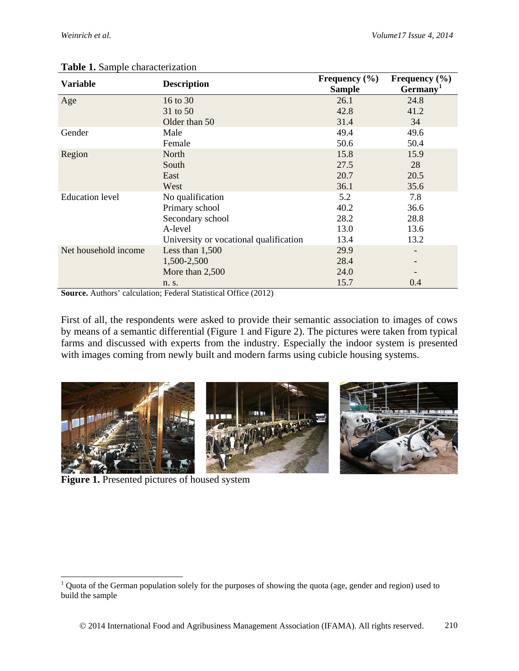| <b>Variable</b>        |                                        | Frequency $(\% )$ | Frequency $(\% )$        |  |
|------------------------|----------------------------------------|-------------------|--------------------------|--|
|                        | <b>Description</b>                     | <b>Sample</b>     | Germany <sup>1</sup>     |  |
| Age                    | 16 to 30                               | 26.1              | 24.8                     |  |
|                        | 31 to 50                               | 42.8              | 41.2                     |  |
|                        | Older than 50                          | 31.4              | 34                       |  |
| Gender                 | Male                                   | 49.4              | 49.6                     |  |
|                        | Female                                 | 50.6              | 50.4                     |  |
| Region                 | North                                  | 15.8              | 15.9                     |  |
|                        | South                                  | 27.5              | 28                       |  |
|                        | East                                   | 20.7              | 20.5                     |  |
|                        | West                                   | 36.1              | 35.6                     |  |
| <b>Education</b> level | No qualification                       | 5.2               | 7.8                      |  |
|                        | Primary school                         | 40.2              | 36.6                     |  |
|                        | Secondary school                       | 28.2              | 28.8                     |  |
|                        | A-level                                | 13.0              | 13.6                     |  |
|                        | University or vocational qualification | 13.4              | 13.2                     |  |
| Net household income   | Less than $1,500$                      | 29.9              | $\overline{\phantom{a}}$ |  |
|                        | 1,500-2,500                            | 28.4              |                          |  |
|                        | More than 2,500                        | 24.0              |                          |  |
|                        | n. s.                                  | 15.7              | 0.4                      |  |

#### **Table 1.** Sample characterization

**Source.** Authors' calculation; Federal Statistical Office (2012)

First of all, the respondents were asked to provide their semantic association to images of cows by means of a semantic differential (Figure 1 and Figure 2). The pictures were taken from typical farms and discussed with experts from the industry. Especially the indoor system is presented with images coming from newly built and modern farms using cubicle housing systems.



**Figure 1.** Presented pictures of housed system

 $\overline{a}$ 

<span id="page-5-0"></span> $1$  Quota of the German population solely for the purposes of showing the quota (age, gender and region) used to build the sample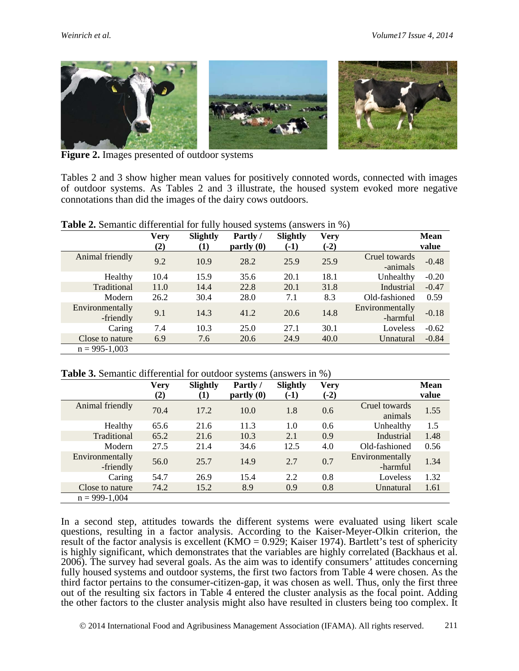

**Figure 2.** Images presented of outdoor systems

Tables 2 and 3 show higher mean values for positively connoted words, connected with images of outdoor systems. As Tables 2 and 3 illustrate, the housed system evoked more negative connotations than did the images of the dairy cows outdoors.

**Table 2.** Semantic differential for fully housed systems (answers in %)

|                              | <b>Very</b><br>(2) | Slightly<br>(1) | Partly/<br>partly(0) | Slightly<br>$(-1)$ | <b>Very</b><br>$(-2)$ |                             | <b>Mean</b><br>value |
|------------------------------|--------------------|-----------------|----------------------|--------------------|-----------------------|-----------------------------|----------------------|
| Animal friendly              | 9.2                | 10.9            | 28.2                 | 25.9               | 25.9                  | Cruel towards<br>-animals   | $-0.48$              |
| Healthy                      | 10.4               | 15.9            | 35.6                 | 20.1               | 18.1                  | Unhealthy                   | $-0.20$              |
| Traditional                  | 11.0               | 14.4            | 22.8                 | 20.1               | 31.8                  | Industrial                  | $-0.47$              |
| Modern                       | 26.2               | 30.4            | 28.0                 | 7.1                | 8.3                   | Old-fashioned               | 0.59                 |
| Environmentally<br>-friendly | 9.1                | 14.3            | 41.2                 | 20.6               | 14.8                  | Environmentally<br>-harmful | $-0.18$              |
| Caring                       | 7.4                | 10.3            | 25.0                 | 27.1               | 30.1                  | Loveless                    | $-0.62$              |
| Close to nature              | 6.9                | 7.6             | 20.6                 | 24.9               | 40.0                  | Unnatural                   | $-0.84$              |
| $n = 995 - 1,003$            |                    |                 |                      |                    |                       |                             |                      |

#### **Table 3.** Semantic differential for outdoor systems (answers in %)

|                              | Very<br>(2) | Slightly<br>(1) | Partly/<br>partly(0) | Slightly<br>$(-1)$ | <b>Very</b><br>$(-2)$ |                             | <b>Mean</b><br>value |
|------------------------------|-------------|-----------------|----------------------|--------------------|-----------------------|-----------------------------|----------------------|
| Animal friendly              | 70.4        | 17.2            | 10.0                 | 1.8                | 0.6                   | Cruel towards<br>animals    | 1.55                 |
| Healthy                      | 65.6        | 21.6            | 11.3                 | 1.0                | 0.6                   | Unhealthy                   | 1.5                  |
| Traditional                  | 65.2        | 21.6            | 10.3                 | 2.1                | 0.9                   | Industrial                  | 1.48                 |
| Modern                       | 27.5        | 21.4            | 34.6                 | 12.5               | 4.0                   | Old-fashioned               | 0.56                 |
| Environmentally<br>-friendly | 56.0        | 25.7            | 14.9                 | 2.7                | 0.7                   | Environmentally<br>-harmful | 1.34                 |
| Caring                       | 54.7        | 26.9            | 15.4                 | 2.2                | 0.8                   | Loveless                    | 1.32                 |
| Close to nature              | 74.2        | 15.2            | 8.9                  | 0.9                | 0.8                   | Unnatural                   | 1.61                 |
| $n = 999-1,004$              |             |                 |                      |                    |                       |                             |                      |

In a second step, attitudes towards the different systems were evaluated using likert scale questions, resulting in a factor analysis. According to the Kaiser-Meyer-Olkin criterion, the result of the factor analysis is excellent (KMO =  $0.929$ ; Kaiser 1974). Bartlett's test of sphericity is highly significant, which demonstrates that the variables are highly correlated (Backhaus et al. 2006). The survey had several goals. As the aim was to identify consumers' attitudes concerning fully housed systems and outdoor systems, the first two factors from Table 4 were chosen. As the third factor pertains to the consumer-citizen-gap, it was chosen as well. Thus, only the first three out of the resulting six factors in Table 4 entered the cluster analysis as the focal point. Adding the other factors to the cluster analysis might also have resulted in clusters being too complex. It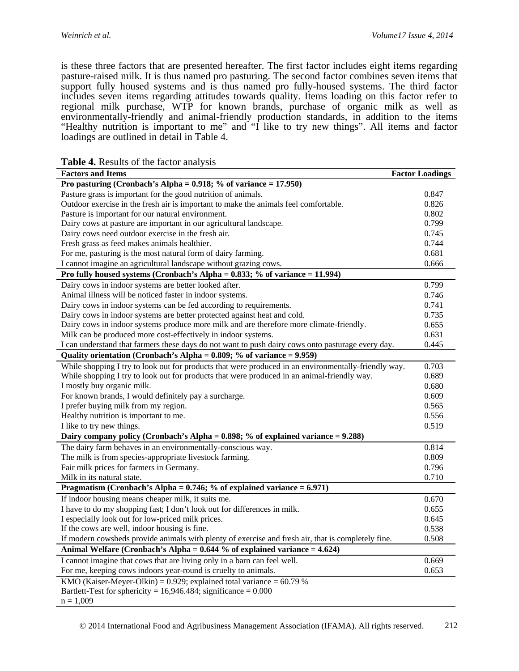is these three factors that are presented hereafter. The first factor includes eight items regarding pasture-raised milk. It is thus named pro pasturing. The second factor combines seven items that support fully housed systems and is thus named pro fully-housed systems. The third factor includes seven items regarding attitudes towards quality. Items loading on this factor refer to regional milk purchase, WTP for known brands, purchase of organic milk as well as environmentally-friendly and animal-friendly production standards, in addition to the items "Healthy nutrition is important to me" and "I like to try new things". All items and factor loadings are outlined in detail in Table 4.

| <b>Factor Loadings</b><br><b>Factors and Items</b>                                                   |       |  |  |  |
|------------------------------------------------------------------------------------------------------|-------|--|--|--|
| Pro pasturing (Cronbach's Alpha = $0.918$ ; % of variance = 17.950)                                  |       |  |  |  |
| Pasture grass is important for the good nutrition of animals.                                        | 0.847 |  |  |  |
| Outdoor exercise in the fresh air is important to make the animals feel comfortable.                 | 0.826 |  |  |  |
| Pasture is important for our natural environment.                                                    | 0.802 |  |  |  |
| Dairy cows at pasture are important in our agricultural landscape.                                   | 0.799 |  |  |  |
| Dairy cows need outdoor exercise in the fresh air.                                                   | 0.745 |  |  |  |
| Fresh grass as feed makes animals healthier.                                                         | 0.744 |  |  |  |
| For me, pasturing is the most natural form of dairy farming.                                         | 0.681 |  |  |  |
| I cannot imagine an agricultural landscape without grazing cows.                                     | 0.666 |  |  |  |
| Pro fully housed systems (Cronbach's Alpha = $0.833$ ; % of variance = 11.994)                       |       |  |  |  |
| Dairy cows in indoor systems are better looked after.                                                | 0.799 |  |  |  |
| Animal illness will be noticed faster in indoor systems.                                             | 0.746 |  |  |  |
| Dairy cows in indoor systems can be fed according to requirements.                                   | 0.741 |  |  |  |
| Dairy cows in indoor systems are better protected against heat and cold.                             | 0.735 |  |  |  |
| Dairy cows in indoor systems produce more milk and are therefore more climate-friendly.              | 0.655 |  |  |  |
| Milk can be produced more cost-effectively in indoor systems.                                        | 0.631 |  |  |  |
| I can understand that farmers these days do not want to push dairy cows onto pasturage every day.    | 0.445 |  |  |  |
| Quality orientation (Cronbach's Alpha = 0.809; % of variance = 9.959)                                |       |  |  |  |
| While shopping I try to look out for products that were produced in an environmentally-friendly way. | 0.703 |  |  |  |
| While shopping I try to look out for products that were produced in an animal-friendly way.          | 0.689 |  |  |  |
| I mostly buy organic milk.                                                                           | 0.680 |  |  |  |
| For known brands, I would definitely pay a surcharge.                                                | 0.609 |  |  |  |
| I prefer buying milk from my region.                                                                 | 0.565 |  |  |  |
| Healthy nutrition is important to me.                                                                | 0.556 |  |  |  |
| I like to try new things.                                                                            | 0.519 |  |  |  |
| Dairy company policy (Cronbach's Alpha = 0.898; % of explained variance = 9.288)                     |       |  |  |  |
| The dairy farm behaves in an environmentally-conscious way.                                          | 0.814 |  |  |  |
| The milk is from species-appropriate livestock farming.                                              | 0.809 |  |  |  |
| Fair milk prices for farmers in Germany.                                                             | 0.796 |  |  |  |
| Milk in its natural state.                                                                           | 0.710 |  |  |  |
| Pragmatism (Cronbach's Alpha = $0.746$ ; % of explained variance = $6.971$ )                         |       |  |  |  |
| If indoor housing means cheaper milk, it suits me.                                                   | 0.670 |  |  |  |
| I have to do my shopping fast; I don't look out for differences in milk.                             | 0.655 |  |  |  |
| I especially look out for low-priced milk prices.                                                    | 0.645 |  |  |  |
| If the cows are well, indoor housing is fine.                                                        | 0.538 |  |  |  |
| If modern cowsheds provide animals with plenty of exercise and fresh air, that is completely fine.   | 0.508 |  |  |  |
| Animal Welfare (Cronbach's Alpha = $0.644$ % of explained variance = $4.624$ )                       |       |  |  |  |
| I cannot imagine that cows that are living only in a barn can feel well.                             | 0.669 |  |  |  |
| For me, keeping cows indoors year-round is cruelty to animals.                                       | 0.653 |  |  |  |
| KMO (Kaiser-Meyer-Olkin) = $0.929$ ; explained total variance = $60.79$ %                            |       |  |  |  |
| Bartlett-Test for sphericity = $16,946.484$ ; significance = 0.000                                   |       |  |  |  |
| $n = 1,009$                                                                                          |       |  |  |  |

**Table 4.** Results of the factor analysis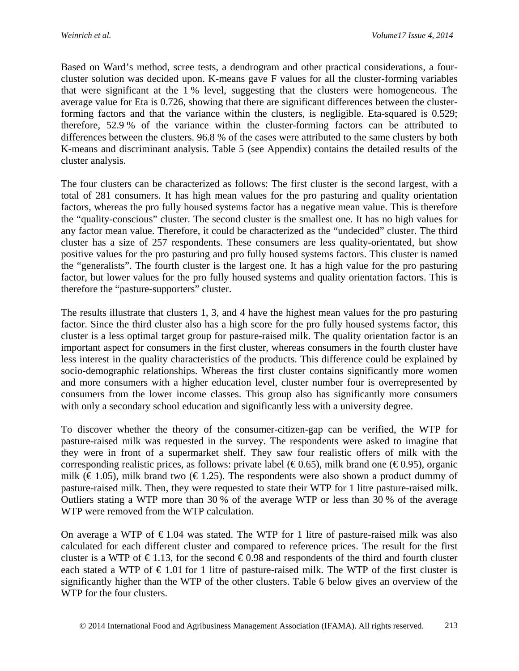Based on Ward's method, scree tests, a dendrogram and other practical considerations, a fourcluster solution was decided upon. K-means gave F values for all the cluster-forming variables that were significant at the 1 % level, suggesting that the clusters were homogeneous. The average value for Eta is 0.726, showing that there are significant differences between the clusterforming factors and that the variance within the clusters, is negligible. Eta-squared is 0.529; therefore, 52.9 % of the variance within the cluster-forming factors can be attributed to differences between the clusters. 96.8 % of the cases were attributed to the same clusters by both K-means and discriminant analysis. Table 5 (see Appendix) contains the detailed results of the cluster analysis.

The four clusters can be characterized as follows: The first cluster is the second largest, with a total of 281 consumers. It has high mean values for the pro pasturing and quality orientation factors, whereas the pro fully housed systems factor has a negative mean value. This is therefore the "quality-conscious" cluster. The second cluster is the smallest one. It has no high values for any factor mean value. Therefore, it could be characterized as the "undecided" cluster. The third cluster has a size of 257 respondents. These consumers are less quality-orientated, but show positive values for the pro pasturing and pro fully housed systems factors. This cluster is named the "generalists". The fourth cluster is the largest one. It has a high value for the pro pasturing factor, but lower values for the pro fully housed systems and quality orientation factors. This is therefore the "pasture-supporters" cluster.

The results illustrate that clusters 1, 3, and 4 have the highest mean values for the pro pasturing factor. Since the third cluster also has a high score for the pro fully housed systems factor, this cluster is a less optimal target group for pasture-raised milk. The quality orientation factor is an important aspect for consumers in the first cluster, whereas consumers in the fourth cluster have less interest in the quality characteristics of the products. This difference could be explained by socio-demographic relationships. Whereas the first cluster contains significantly more women and more consumers with a higher education level, cluster number four is overrepresented by consumers from the lower income classes. This group also has significantly more consumers with only a secondary school education and significantly less with a university degree.

To discover whether the theory of the consumer-citizen-gap can be verified, the WTP for pasture-raised milk was requested in the survey. The respondents were asked to imagine that they were in front of a supermarket shelf. They saw four realistic offers of milk with the corresponding realistic prices, as follows: private label ( $\epsilon$ 0.65), milk brand one ( $\epsilon$ 0.95), organic milk ( $\in$  1.05), milk brand two ( $\in$  1.25). The respondents were also shown a product dummy of pasture-raised milk. Then, they were requested to state their WTP for 1 litre pasture-raised milk. Outliers stating a WTP more than 30 % of the average WTP or less than 30 % of the average WTP were removed from the WTP calculation.

On average a WTP of  $\epsilon$ 1.04 was stated. The WTP for 1 litre of pasture-raised milk was also calculated for each different cluster and compared to reference prices. The result for the first cluster is a WTP of  $\epsilon$ 1.13, for the second  $\epsilon$ 0.98 and respondents of the third and fourth cluster each stated a WTP of  $\epsilon$  1.01 for 1 litre of pasture-raised milk. The WTP of the first cluster is significantly higher than the WTP of the other clusters. Table 6 below gives an overview of the WTP for the four clusters.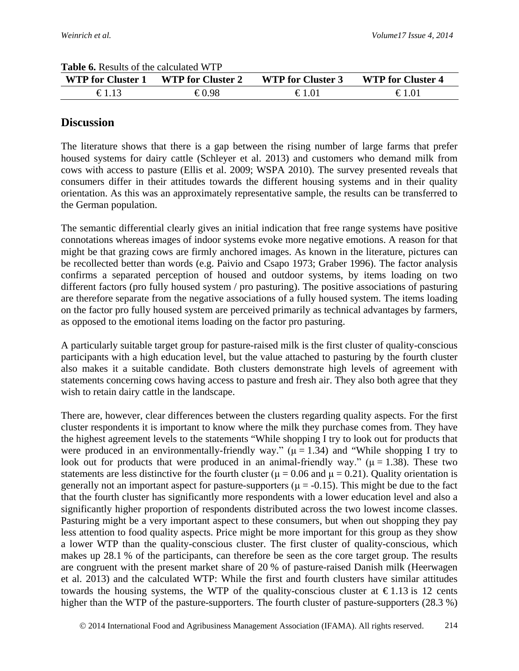| <b>WTP for Cluster 1</b> | <b>WTP for Cluster 2</b> | <b>WTP for Cluster 3</b> | <b>WTP for Cluster 4</b> |
|--------------------------|--------------------------|--------------------------|--------------------------|
|                          | €0.98                    | €1.01                    | $\epsilon$ 1 01          |

#### **Table 6.** Results of the calculated WTP

## **Discussion**

The literature shows that there is a gap between the rising number of large farms that prefer housed systems for dairy cattle (Schleyer et al. 2013) and customers who demand milk from cows with access to pasture (Ellis et al. 2009; WSPA 2010). The survey presented reveals that consumers differ in their attitudes towards the different housing systems and in their quality orientation. As this was an approximately representative sample, the results can be transferred to the German population.

The semantic differential clearly gives an initial indication that free range systems have positive connotations whereas images of indoor systems evoke more negative emotions. A reason for that might be that grazing cows are firmly anchored images. As known in the literature, pictures can be recollected better than words (e.g. Paivio and Csapo 1973; Graber 1996). The factor analysis confirms a separated perception of housed and outdoor systems, by items loading on two different factors (pro fully housed system / pro pasturing). The positive associations of pasturing are therefore separate from the negative associations of a fully housed system. The items loading on the factor pro fully housed system are perceived primarily as technical advantages by farmers, as opposed to the emotional items loading on the factor pro pasturing.

A particularly suitable target group for pasture-raised milk is the first cluster of quality-conscious participants with a high education level, but the value attached to pasturing by the fourth cluster also makes it a suitable candidate. Both clusters demonstrate high levels of agreement with statements concerning cows having access to pasture and fresh air. They also both agree that they wish to retain dairy cattle in the landscape.

There are, however, clear differences between the clusters regarding quality aspects. For the first cluster respondents it is important to know where the milk they purchase comes from. They have the highest agreement levels to the statements "While shopping I try to look out for products that were produced in an environmentally-friendly way." ( $\mu$  = 1.34) and "While shopping I try to look out for products that were produced in an animal-friendly way." ( $\mu$  = 1.38). These two statements are less distinctive for the fourth cluster ( $\mu$  = 0.06 and  $\mu$  = 0.21). Quality orientation is generally not an important aspect for pasture-supporters ( $\mu$  = -0.15). This might be due to the fact that the fourth cluster has significantly more respondents with a lower education level and also a significantly higher proportion of respondents distributed across the two lowest income classes. Pasturing might be a very important aspect to these consumers, but when out shopping they pay less attention to food quality aspects. Price might be more important for this group as they show a lower WTP than the quality-conscious cluster. The first cluster of quality-conscious, which makes up 28.1 % of the participants, can therefore be seen as the core target group. The results are congruent with the present market share of 20 % of pasture-raised Danish milk (Heerwagen et al. 2013) and the calculated WTP: While the first and fourth clusters have similar attitudes towards the housing systems, the WTP of the quality-conscious cluster at  $\epsilon$ 1.13 is 12 cents higher than the WTP of the pasture-supporters. The fourth cluster of pasture-supporters (28.3 %)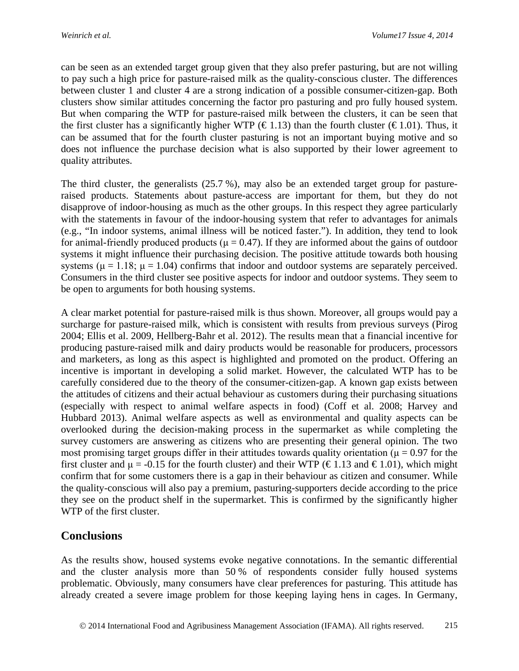can be seen as an extended target group given that they also prefer pasturing, but are not willing to pay such a high price for pasture-raised milk as the quality-conscious cluster. The differences between cluster 1 and cluster 4 are a strong indication of a possible consumer-citizen-gap. Both clusters show similar attitudes concerning the factor pro pasturing and pro fully housed system. But when comparing the WTP for pasture-raised milk between the clusters, it can be seen that the first cluster has a significantly higher WTP ( $\in$ 1.13) than the fourth cluster ( $\in$ 1.01). Thus, it can be assumed that for the fourth cluster pasturing is not an important buying motive and so does not influence the purchase decision what is also supported by their lower agreement to quality attributes.

The third cluster, the generalists (25.7 %), may also be an extended target group for pastureraised products. Statements about pasture-access are important for them, but they do not disapprove of indoor-housing as much as the other groups. In this respect they agree particularly with the statements in favour of the indoor-housing system that refer to advantages for animals (e.g., "In indoor systems, animal illness will be noticed faster."). In addition, they tend to look for animal-friendly produced products ( $\mu = 0.47$ ). If they are informed about the gains of outdoor systems it might influence their purchasing decision. The positive attitude towards both housing systems ( $\mu = 1.18$ ;  $\mu = 1.04$ ) confirms that indoor and outdoor systems are separately perceived. Consumers in the third cluster see positive aspects for indoor and outdoor systems. They seem to be open to arguments for both housing systems.

A clear market potential for pasture-raised milk is thus shown. Moreover, all groups would pay a surcharge for pasture-raised milk, which is consistent with results from previous surveys (Pirog 2004; Ellis et al. 2009, Hellberg-Bahr et al. 2012). The results mean that a financial incentive for producing pasture-raised milk and dairy products would be reasonable for producers, processors and marketers, as long as this aspect is highlighted and promoted on the product. Offering an incentive is important in developing a solid market. However, the calculated WTP has to be carefully considered due to the theory of the consumer-citizen-gap. A known gap exists between the attitudes of citizens and their actual behaviour as customers during their purchasing situations (especially with respect to animal welfare aspects in food) (Coff et al. 2008; Harvey and Hubbard 2013). Animal welfare aspects as well as environmental and quality aspects can be overlooked during the decision-making process in the supermarket as while completing the survey customers are answering as citizens who are presenting their general opinion. The two most promising target groups differ in their attitudes towards quality orientation ( $\mu$  = 0.97 for the first cluster and  $\mu = -0.15$  for the fourth cluster) and their WTP (€1.13 and €1.01), which might confirm that for some customers there is a gap in their behaviour as citizen and consumer. While the quality-conscious will also pay a premium, pasturing-supporters decide according to the price they see on the product shelf in the supermarket. This is confirmed by the significantly higher WTP of the first cluster.

### **Conclusions**

As the results show, housed systems evoke negative connotations. In the semantic differential and the cluster analysis more than 50 % of respondents consider fully housed systems problematic. Obviously, many consumers have clear preferences for pasturing. This attitude has already created a severe image problem for those keeping laying hens in cages. In Germany,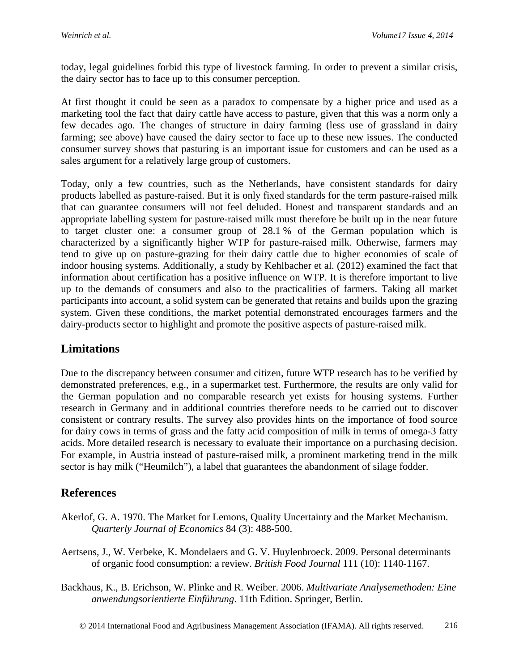today, legal guidelines forbid this type of livestock farming. In order to prevent a similar crisis, the dairy sector has to face up to this consumer perception.

At first thought it could be seen as a paradox to compensate by a higher price and used as a marketing tool the fact that dairy cattle have access to pasture, given that this was a norm only a few decades ago. The changes of structure in dairy farming (less use of grassland in dairy farming; see above) have caused the dairy sector to face up to these new issues. The conducted consumer survey shows that pasturing is an important issue for customers and can be used as a sales argument for a relatively large group of customers.

Today, only a few countries, such as the Netherlands, have consistent standards for dairy products labelled as pasture-raised. But it is only fixed standards for the term pasture-raised milk that can guarantee consumers will not feel deluded. Honest and transparent standards and an appropriate labelling system for pasture-raised milk must therefore be built up in the near future to target cluster one: a consumer group of 28.1 % of the German population which is characterized by a significantly higher WTP for pasture-raised milk. Otherwise, farmers may tend to give up on pasture-grazing for their dairy cattle due to higher economies of scale of indoor housing systems. Additionally, a study by Kehlbacher et al. (2012) examined the fact that information about certification has a positive influence on WTP. It is therefore important to live up to the demands of consumers and also to the practicalities of farmers. Taking all market participants into account, a solid system can be generated that retains and builds upon the grazing system. Given these conditions, the market potential demonstrated encourages farmers and the dairy-products sector to highlight and promote the positive aspects of pasture-raised milk.

# **Limitations**

Due to the discrepancy between consumer and citizen, future WTP research has to be verified by demonstrated preferences, e.g., in a supermarket test. Furthermore, the results are only valid for the German population and no comparable research yet exists for housing systems. Further research in Germany and in additional countries therefore needs to be carried out to discover consistent or contrary results. The survey also provides hints on the importance of food source for dairy cows in terms of grass and the fatty acid composition of milk in terms of omega-3 fatty acids. More detailed research is necessary to evaluate their importance on a purchasing decision. For example, in Austria instead of pasture-raised milk, a prominent marketing trend in the milk sector is hay milk ("Heumilch"), a label that guarantees the abandonment of silage fodder.

# **References**

- Akerlof, G. A. 1970. The Market for Lemons, Quality Uncertainty and the Market Mechanism. *Quarterly Journal of Economics* 84 (3): 488-500.
- Aertsens, J., W. Verbeke, K. Mondelaers and G. V. Huylenbroeck. 2009. Personal determinants of organic food consumption: a review. *British Food Journal* 111 (10): 1140-1167.
- Backhaus, K., B. Erichson, W. Plinke and R. Weiber. 2006. *Multivariate Analysemethoden: Eine anwendungsorientierte Einführung*. 11th Edition. Springer, Berlin.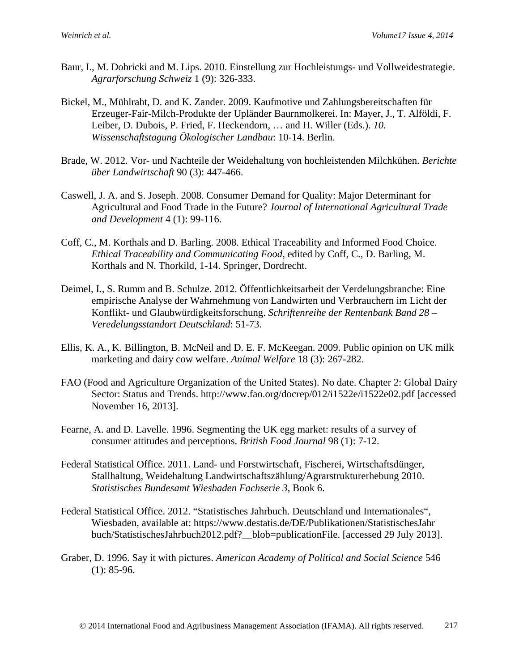- Baur, I., M. Dobricki and M. Lips. 2010. Einstellung zur Hochleistungs- und Vollweidestrategie. *Agrarforschung Schweiz* 1 (9): 326-333.
- Bickel, M., Mühlraht, D. and K. Zander. 2009. Kaufmotive und Zahlungsbereitschaften für Erzeuger-Fair-Milch-Produkte der Upländer Baurnmolkerei. In: Mayer, J., T. Alföldi, F. Leiber, D. Dubois, P. Fried, F. Heckendorn, … and H. Willer (Eds.). *10. Wissenschaftstagung Ökologischer Landbau*: 10-14. Berlin.
- Brade, W. 2012. Vor- und Nachteile der Weidehaltung von hochleistenden Milchkühen. *Berichte über Landwirtschaft* 90 (3): 447-466.
- Caswell, J. A. and S. Joseph. 2008. Consumer Demand for Quality: Major Determinant for Agricultural and Food Trade in the Future? *Journal of International Agricultural Trade and Development* 4 (1): 99-116.
- Coff, C., M. Korthals and D. Barling. 2008. Ethical Traceability and Informed Food Choice. *Ethical Traceability and Communicating Food*, edited by Coff, C., D. Barling, M. Korthals and N. Thorkild, 1-14. Springer, Dordrecht.
- Deimel, I., S. Rumm and B. Schulze. 2012. Öffentlichkeitsarbeit der Verdelungsbranche: Eine empirische Analyse der Wahrnehmung von Landwirten und Verbrauchern im Licht der Konflikt- und Glaubwürdigkeitsforschung. *Schriftenreihe der Rentenbank Band 28 – Veredelungsstandort Deutschland*: 51-73.
- Ellis, K. A., K. Billington, B. McNeil and D. E. F. McKeegan. 2009. Public opinion on UK milk marketing and dairy cow welfare. *Animal Welfare* 18 (3): 267-282.
- FAO (Food and Agriculture Organization of the United States). No date. Chapter 2: Global Dairy Sector: Status and Trends. http://www.fao.org/docrep/012/i1522e/i1522e02.pdf [accessed November 16, 2013].
- Fearne, A. and D. Lavelle. 1996. Segmenting the UK egg market: results of a survey of consumer attitudes and perceptions. *British Food Journal* 98 (1): 7-12.
- Federal Statistical Office. 2011. Land- und Forstwirtschaft, Fischerei, Wirtschaftsdünger, Stallhaltung, Weidehaltung Landwirtschaftszählung/Agrarstrukturerhebung 2010. *Statistisches Bundesamt Wiesbaden Fachserie 3*, Book 6.
- Federal Statistical Office. 2012. "Statistisches Jahrbuch. Deutschland und Internationales", Wiesbaden, available at: https://www.destatis.de/DE/Publikationen/StatistischesJahr buch/StatistischesJahrbuch2012.pdf?\_\_blob=publicationFile. [accessed 29 July 2013].
- Graber, D. 1996. Say it with pictures. *American Academy of Political and Social Science* 546  $(1): 85-96.$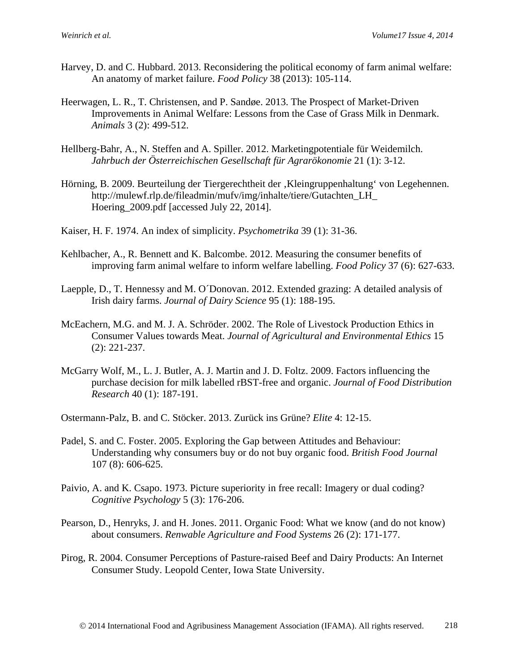- Harvey, D. and C. Hubbard. 2013. Reconsidering the political economy of farm animal welfare: An anatomy of market failure. *Food Policy* 38 (2013): 105-114.
- Heerwagen, L. R., T. Christensen, and P. Sandøe. 2013. The Prospect of Market-Driven Improvements in Animal Welfare: Lessons from the Case of Grass Milk in Denmark. *Animals* 3 (2): 499-512.
- Hellberg-Bahr, A., N. Steffen and A. Spiller. 2012. Marketingpotentiale für Weidemilch. *Jahrbuch der Österreichischen Gesellschaft für Agrarökonomie* 21 (1): 3-12.
- Hörning, B. 2009. Beurteilung der Tiergerechtheit der 'Kleingruppenhaltung' von Legehennen. http://mulewf.rlp.de/fileadmin/mufv/img/inhalte/tiere/Gutachten\_LH\_ Hoering\_2009.pdf [accessed July 22, 2014].
- Kaiser, H. F. 1974. An index of simplicity. *Psychometrika* 39 (1): 31-36.
- Kehlbacher, A., R. Bennett and K. Balcombe. 2012. Measuring the consumer benefits of improving farm animal welfare to inform welfare labelling. *Food Policy* 37 (6): 627-633.
- Laepple, D., T. Hennessy and M. O´Donovan. 2012. Extended grazing: A detailed analysis of Irish dairy farms. *Journal of Dairy Science* 95 (1): 188-195.
- McEachern, M.G. and M. J. A. Schröder. 2002. The Role of Livestock Production Ethics in Consumer Values towards Meat. *Journal of Agricultural and Environmental Ethics* 15 (2): 221-237.
- McGarry Wolf, M., L. J. Butler, A. J. Martin and J. D. Foltz. 2009. Factors influencing the purchase decision for milk labelled rBST-free and organic. *Journal of Food Distribution Research* 40 (1): 187-191.

Ostermann-Palz, B. and C. Stöcker. 2013. Zurück ins Grüne? *Elite* 4: 12-15.

- Padel, S. and C. Foster. 2005. Exploring the Gap between Attitudes and Behaviour: Understanding why consumers buy or do not buy organic food. *British Food Journal* 107 (8): 606-625.
- Paivio, A. and K. Csapo. 1973. Picture superiority in free recall: Imagery or dual coding? *Cognitive Psychology* 5 (3): 176-206.
- Pearson, D., Henryks, J. and H. Jones. 2011. Organic Food: What we know (and do not know) about consumers. *Renwable Agriculture and Food Systems* 26 (2): 171-177.
- Pirog, R. 2004. Consumer Perceptions of Pasture-raised Beef and Dairy Products: An Internet Consumer Study. Leopold Center, Iowa State University.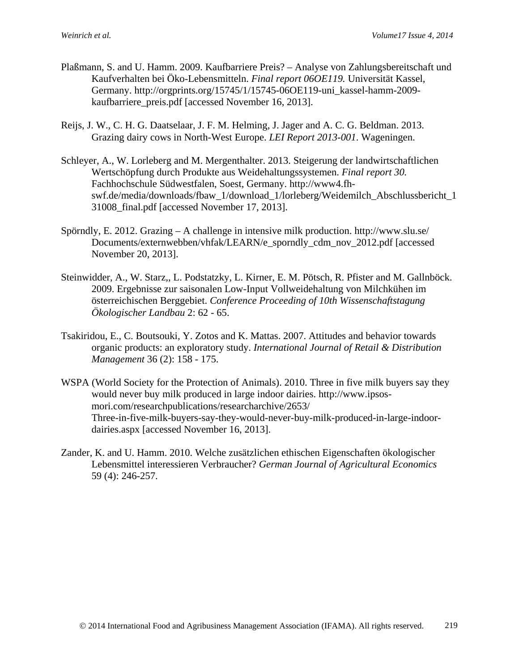- Plaßmann, S. and U. Hamm. 2009. Kaufbarriere Preis? Analyse von Zahlungsbereitschaft und Kaufverhalten bei Öko-Lebensmitteln. *Final report 06OE119.* Universität Kassel, Germany. http://orgprints.org/15745/1/15745-06OE119-uni\_kassel-hamm-2009 kaufbarriere\_preis.pdf [accessed November 16, 2013].
- Reijs, J. W., C. H. G. Daatselaar, J. F. M. Helming, J. Jager and A. C. G. Beldman. 2013. Grazing dairy cows in North-West Europe. *LEI Report 2013-001*. Wageningen.
- Schleyer, A., W. Lorleberg and M. Mergenthalter. 2013. Steigerung der landwirtschaftlichen Wertschöpfung durch Produkte aus Weidehaltungssystemen. *Final report 30.*  Fachhochschule Südwestfalen, Soest, Germany. http://www4.fhswf.de/media/downloads/fbaw\_1/download\_1/lorleberg/Weidemilch\_Abschlussbericht\_1 31008\_final.pdf [accessed November 17, 2013].
- Spörndly, E. 2012. Grazing A challenge in intensive milk production. http://www.slu.se/ Documents/externwebben/vhfak/LEARN/e\_sporndly\_cdm\_nov\_2012.pdf [accessed November 20, 2013].
- Steinwidder, A., W. Starz,, L. Podstatzky, L. Kirner, E. M. Pötsch, R. Pfister and M. Gallnböck. 2009. Ergebnisse zur saisonalen Low-Input Vollweidehaltung von Milchkühen im österreichischen Berggebiet. *Conference Proceeding of 10th Wissenschaftstagung Ökologischer Landbau* 2: 62 - 65.
- Tsakiridou, E., C. Boutsouki, Y. Zotos and K. Mattas. 2007. Attitudes and behavior towards organic products: an exploratory study. *International Journal of Retail & Distribution Management* 36 (2): 158 - 175.
- WSPA (World Society for the Protection of Animals). 2010. Three in five milk buyers say they would never buy milk produced in large indoor dairies. http://www.ipsosmori.com/researchpublications/researcharchive/2653/ Three-in-five-milk-buyers-say-they-would-never-buy-milk-produced-in-large-indoordairies.aspx [accessed November 16, 2013].
- Zander, K. and U. Hamm. 2010. Welche zusätzlichen ethischen Eigenschaften ökologischer Lebensmittel interessieren Verbraucher? *German Journal of Agricultural Economics*  59 (4): 246-257.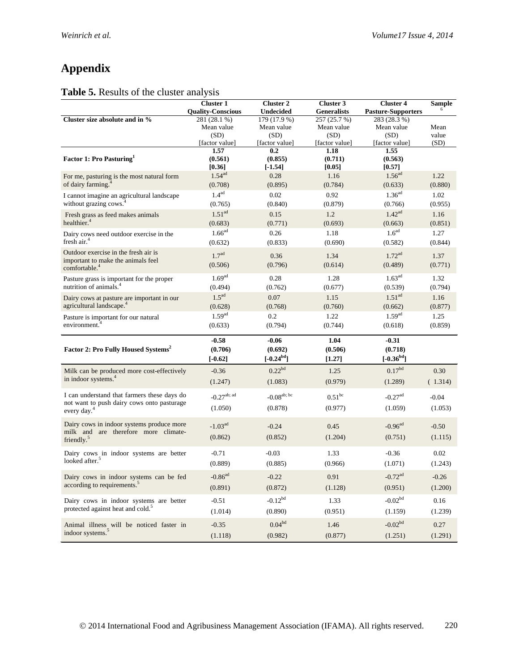# **Appendix**

### **Table 5.** Results of the cluster analysis

|                                                                                          | <b>Cluster 1</b>          | <b>Cluster 2</b>          | Cluster 3              | <b>Cluster 4</b>          | <b>Sample</b> |
|------------------------------------------------------------------------------------------|---------------------------|---------------------------|------------------------|---------------------------|---------------|
|                                                                                          | <b>Quality-Conscious</b>  | <b>Undecided</b>          | <b>Generalists</b>     | <b>Pasture-Supporters</b> |               |
| Cluster size absolute and in %                                                           | 281 (28.1 %)              | 179 (17.9 %)              | 257 (25.7 %)           | 283 (28.3 %)              |               |
|                                                                                          | Mean value                | Mean value                | Mean value             | Mean value                | Mean<br>value |
|                                                                                          | (SD)<br>[factor value]    | (SD)<br>[factor value]    | (SD)<br>[factor value] | (SD)<br>[factor value]    | (SD)          |
|                                                                                          | 1.57                      | 0.2                       | 1.18                   | 1.55                      |               |
| Factor 1: Pro Pasturing <sup>1</sup>                                                     | (0.561)                   | (0.855)                   | (0.711)                | (0.563)                   |               |
|                                                                                          | [0.36]                    | $[-1.54]$                 | [0.05]                 | [0.57]                    |               |
| For me, pasturing is the most natural form                                               | 1.54 <sup>ad</sup>        | 0.28                      | 1.16                   | 1.56 <sup>ad</sup>        | 1.22          |
| of dairy farming. <sup>4</sup>                                                           | (0.708)                   | (0.895)                   | (0.784)                | (0.633)                   | (0.880)       |
| I cannot imagine an agricultural landscape                                               | 1.4 <sup>ad</sup>         | 0.02                      | 0.92                   | 1.36 <sup>ad</sup>        | 1.02          |
| without grazing cows. <sup>4</sup>                                                       | (0.765)                   | (0.840)                   | (0.879)                | (0.766)                   | (0.955)       |
| Fresh grass as feed makes animals                                                        | 1.51 <sup>ad</sup>        | 0.15                      | 1.2                    | 1.42 <sup>ad</sup>        | 1.16          |
| healthier. <sup>4</sup>                                                                  | (0.683)                   | (0.771)                   | (0.693)                | (0.663)                   | (0.851)       |
| Dairy cows need outdoor exercise in the                                                  | 1.66 <sup>ad</sup>        | 0.26                      | 1.18                   | 1.6 <sup>ad</sup>         | 1.27          |
| fresh air. $4$                                                                           | (0.632)                   | (0.833)                   | (0.690)                | (0.582)                   | (0.844)       |
| Outdoor exercise in the fresh air is                                                     | 1.7 <sup>ad</sup>         |                           |                        | 1.72 <sup>ad</sup>        |               |
| important to make the animals feel                                                       |                           | 0.36                      | 1.34                   |                           | 1.37          |
| comfortable. <sup>4</sup>                                                                | (0.506)                   | (0.796)                   | (0.614)                | (0.489)                   | (0.771)       |
| Pasture grass is important for the proper                                                | 1.69 <sup>ad</sup>        | 0.28                      | 1.28                   | 1.63 <sup>ad</sup>        | 1.32          |
| nutrition of animals. <sup>4</sup>                                                       | (0.494)                   | (0.762)                   | (0.677)                | (0.539)                   | (0.794)       |
| Dairy cows at pasture are important in our                                               | 1.5 <sup>ad</sup>         | 0.07                      | 1.15                   | 1.51 <sup>ad</sup>        | 1.16          |
| agricultural landscape. <sup>4</sup>                                                     | (0.628)                   | (0.768)                   | (0.760)                | (0.662)                   | (0.877)       |
| Pasture is important for our natural                                                     | 1.59 <sup>ad</sup>        | 0.2                       | 1.22                   | 1.59 <sup>ad</sup>        | 1.25          |
| environment. <sup>4</sup>                                                                | (0.633)                   | (0.794)                   | (0.744)                | (0.618)                   | (0.859)       |
|                                                                                          | $-0.58$                   |                           | 1.04                   | $-0.31$                   |               |
|                                                                                          |                           | $-0.06$                   |                        |                           |               |
| Factor 2: Pro Fully Housed Systems <sup>2</sup>                                          | (0.706)                   | (0.692)<br>$[-0.24^{bd}]$ | (0.506)                | (0.718)<br>$[-0.36^{bd}]$ |               |
|                                                                                          | $[-0.62]$                 |                           | [1.27]                 |                           |               |
| Milk can be produced more cost-effectively                                               | $-0.36$                   | $0.22^{bd}$               | 1.25                   | $0.17^{bd}$               | 0.30          |
| in indoor systems. <sup>4</sup>                                                          | (1.247)                   | (1.083)                   | (0.979)                | (1.289)                   | (1.314)       |
| I can understand that farmers these days do                                              |                           |                           |                        |                           |               |
| not want to push dairy cows onto pasturage                                               | $-0.27$ <sup>ab; ad</sup> | -0.08 <sup>ab; bc</sup>   | $0.51^{bc}$            | $-0.27$ <sup>ad</sup>     | $-0.04$       |
| every day. <sup>4</sup>                                                                  | (1.050)                   | (0.878)                   | (0.977)                | (1.059)                   | (1.053)       |
| Dairy cows in indoor systems produce more                                                |                           |                           |                        |                           |               |
| milk and are therefore more climate-                                                     | $-1.03^{ad}$              | $-0.24$                   | 0.45                   | $-0.96$ <sup>ad</sup>     | $-0.50$       |
| friendly. <sup>5</sup>                                                                   | (0.862)                   | (0.852)                   | (1.204)                | (0.751)                   | (1.115)       |
| Dairy cows in indoor systems are better                                                  | $-0.71$                   | $-0.03$                   | 1.33                   | $-0.36$                   | 0.02          |
| looked after. <sup>5</sup>                                                               |                           |                           |                        |                           |               |
|                                                                                          | (0.889)                   | (0.885)                   | (0.966)                | (1.071)                   | (1.243)       |
| Dairy cows in indoor systems can be fed                                                  | $-0.86$ <sup>ad</sup>     | $-0.22$                   | 0.91                   | $-0.72$ <sup>ad</sup>     | $-0.26$       |
| according to requirements. <sup>5</sup>                                                  | (0.891)                   | (0.872)                   | (1.128)                | (0.951)                   | (1.200)       |
|                                                                                          |                           | $-0.12^{bd}$              |                        | $-0.02^{bd}$              |               |
| Dairy cows in indoor systems are better<br>protected against heat and cold. <sup>5</sup> | $-0.51$                   |                           | 1.33                   |                           | 0.16          |
|                                                                                          | (1.014)                   | (0.890)                   | (0.951)                | (1.159)                   | (1.239)       |
| Animal illness will be noticed faster in                                                 | $-0.35$                   | 0.04 <sup>bd</sup>        | 1.46                   | $-0.02^{bd}$              | 0.27          |
| indoor systems. <sup>5</sup>                                                             | (1.118)                   | (0.982)                   | (0.877)                | (1.251)                   | (1.291)       |
|                                                                                          |                           |                           |                        |                           |               |